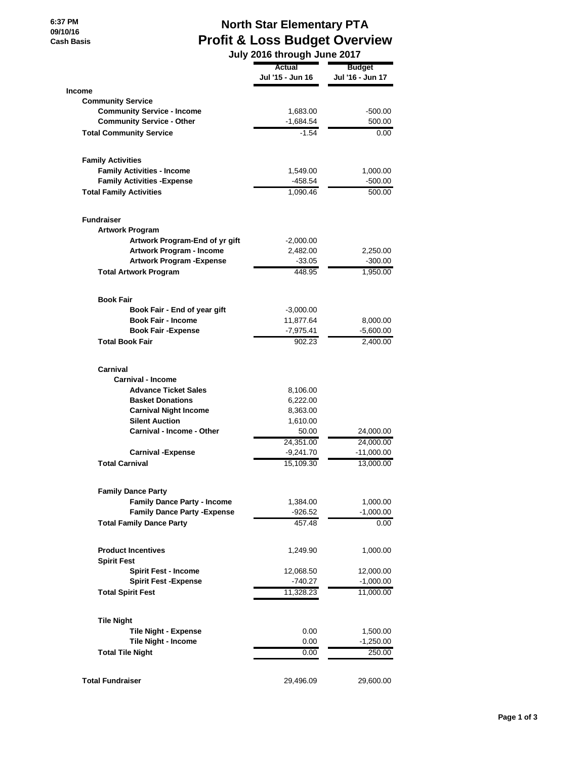## **North Star Elementary PTA Profit & Loss Budget Overview**

|                                                  | July 2016 through June 2017 |                  |
|--------------------------------------------------|-----------------------------|------------------|
|                                                  | Actual                      | <b>Budget</b>    |
|                                                  | Jul '15 - Jun 16            | Jul '16 - Jun 17 |
| <b>Income</b>                                    |                             |                  |
| <b>Community Service</b>                         |                             |                  |
| <b>Community Service - Income</b>                | 1,683.00                    | $-500.00$        |
| <b>Community Service - Other</b>                 | -1,684.54                   | 500.00           |
| <b>Total Community Service</b>                   | $-1.54$                     | 0.00             |
|                                                  |                             |                  |
| <b>Family Activities</b>                         |                             |                  |
| <b>Family Activities - Income</b>                | 1,549.00                    | 1,000.00         |
| <b>Family Activities - Expense</b>               | $-458.54$                   | $-500.00$        |
| <b>Total Family Activities</b>                   | 1,090.46                    | 500.00           |
|                                                  |                             |                  |
| <b>Fundraiser</b>                                |                             |                  |
| <b>Artwork Program</b>                           |                             |                  |
| Artwork Program-End of yr gift                   | -2,000.00                   |                  |
| Artwork Program - Income                         | 2,482.00                    | 2,250.00         |
| <b>Artwork Program - Expense</b>                 | $-33.05$                    | $-300.00$        |
| <b>Total Artwork Program</b>                     | 448.95                      | 1,950.00         |
| <b>Book Fair</b>                                 |                             |                  |
| Book Fair - End of year gift                     | $-3,000.00$                 |                  |
| <b>Book Fair - Income</b>                        | 11,877.64                   | 8,000.00         |
| <b>Book Fair - Expense</b>                       | -7,975.41                   | $-5,600.00$      |
| <b>Total Book Fair</b>                           | 902.23                      | 2,400.00         |
|                                                  |                             |                  |
| Carnival<br><b>Carnival - Income</b>             |                             |                  |
|                                                  |                             |                  |
| <b>Advance Ticket Sales</b>                      | 8,106.00                    |                  |
| <b>Basket Donations</b>                          | 6,222.00                    |                  |
| <b>Carnival Night Income</b>                     | 8,363.00                    |                  |
| <b>Silent Auction</b>                            | 1,610.00                    |                  |
| Carnival - Income - Other                        | 50.00                       | 24,000.00        |
|                                                  | 24,351.00                   | 24,000.00        |
| <b>Carnival - Expense</b>                        | $-9,241.70$                 | $-11,000.00$     |
| <b>Total Carnival</b>                            | 15,109.30                   | 13,000.00        |
| <b>Family Dance Party</b>                        |                             |                  |
| <b>Family Dance Party - Income</b>               | 1,384.00                    | 1,000.00         |
| <b>Family Dance Party - Expense</b>              | $-926.52$                   | $-1,000.00$      |
| <b>Total Family Dance Party</b>                  | 457.48                      | 0.00             |
|                                                  |                             |                  |
| <b>Product Incentives</b><br><b>Spirit Fest</b>  | 1,249.90                    | 1,000.00         |
| <b>Spirit Fest - Income</b>                      | 12,068.50                   | 12,000.00        |
| <b>Spirit Fest -Expense</b>                      | $-740.27$                   | $-1,000.00$      |
| <b>Total Spirit Fest</b>                         | 11,328.23                   | 11,000.00        |
|                                                  |                             |                  |
| <b>Tile Night</b><br><b>Tile Night - Expense</b> | 0.00                        | 1,500.00         |
|                                                  |                             |                  |
| Tile Night - Income                              | 0.00                        | $-1,250.00$      |
| <b>Total Tile Night</b>                          | 0.00                        | 250.00           |
| <b>Total Fundraiser</b>                          | 29,496.09                   | 29,600.00        |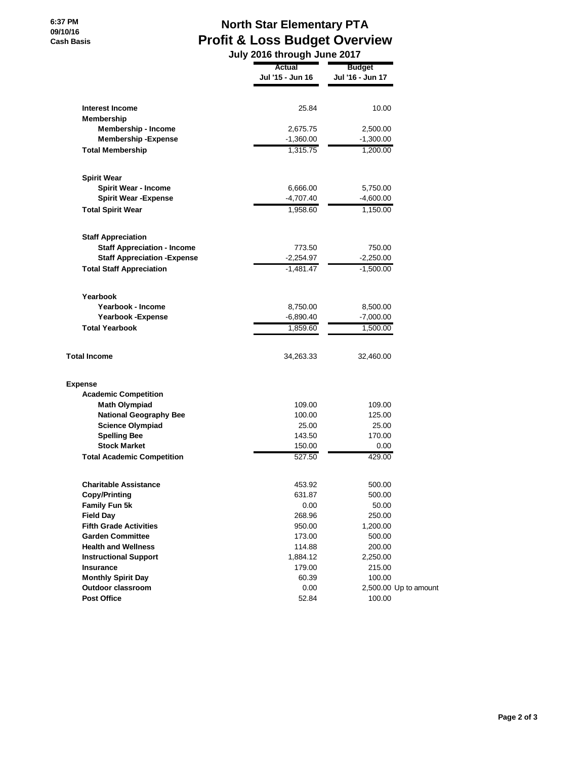## **North Star Elementary PTA Profit & Loss Budget Overview July 2016 through June 2017**

|                                             | v unvugn v              |                         |  |
|---------------------------------------------|-------------------------|-------------------------|--|
|                                             | Actual                  | <b>Budget</b>           |  |
|                                             | Jul '15 - Jun 16        | Jul '16 - Jun 17        |  |
| Interest Income                             | 25.84                   | 10.00                   |  |
| Membership                                  |                         |                         |  |
| <b>Membership - Income</b>                  | 2,675.75                | 2,500.00                |  |
| <b>Membership - Expense</b>                 | $-1,360.00$             | $-1,300.00$             |  |
| <b>Total Membership</b>                     | 1,315.75                | 1,200.00                |  |
|                                             |                         |                         |  |
| <b>Spirit Wear</b>                          |                         |                         |  |
| <b>Spirit Wear - Income</b>                 | 6,666.00                | 5,750.00                |  |
| <b>Spirit Wear - Expense</b>                | $-4,707.40$             | -4,600.00               |  |
| <b>Total Spirit Wear</b>                    | 1,958.60                | 1,150.00                |  |
| <b>Staff Appreciation</b>                   |                         |                         |  |
| <b>Staff Appreciation - Income</b>          | 773.50                  | 750.00                  |  |
| <b>Staff Appreciation - Expense</b>         | $-2,254.97$             | $-2,250.00$             |  |
| <b>Total Staff Appreciation</b>             | $-1,481.47$             | $-1,500.00$             |  |
| Yearbook                                    |                         |                         |  |
| Yearbook - Income                           |                         |                         |  |
|                                             | 8,750.00<br>$-6,890.40$ | 8,500.00                |  |
| Yearbook - Expense<br><b>Total Yearbook</b> |                         | $-7,000.00$<br>1,500.00 |  |
|                                             | 1,859.60                |                         |  |
| <b>Total Income</b>                         | 34,263.33               | 32,460.00               |  |
| Expense                                     |                         |                         |  |
| <b>Academic Competition</b>                 |                         |                         |  |
| <b>Math Olympiad</b>                        | 109.00                  | 109.00                  |  |
| <b>National Geography Bee</b>               | 100.00                  | 125.00                  |  |
| <b>Science Olympiad</b>                     | 25.00                   | 25.00                   |  |
| <b>Spelling Bee</b>                         | 143.50                  | 170.00                  |  |
| <b>Stock Market</b>                         | 150.00                  | 0.00                    |  |
| <b>Total Academic Competition</b>           | 527.50                  | 429.00                  |  |
| Charitable Assistance                       | 453.92                  | 500.00                  |  |
| <b>Copy/Printing</b>                        | 631.87                  | 500.00                  |  |
| Family Fun 5k                               | 0.00                    | 50.00                   |  |
| <b>Field Day</b>                            | 268.96                  | 250.00                  |  |
| <b>Fifth Grade Activities</b>               | 950.00                  | 1,200.00                |  |
| <b>Garden Committee</b>                     | 173.00                  | 500.00                  |  |
| <b>Health and Wellness</b>                  | 114.88                  | 200.00                  |  |
| <b>Instructional Support</b>                | 1,884.12                | 2,250.00                |  |
| Insurance                                   | 179.00                  | 215.00                  |  |
| <b>Monthly Spirit Day</b>                   | 60.39                   | 100.00                  |  |
| Outdoor classroom                           | 0.00                    | 2,500.00 Up to amount   |  |
| <b>Post Office</b>                          | 52.84                   | 100.00                  |  |
|                                             |                         |                         |  |